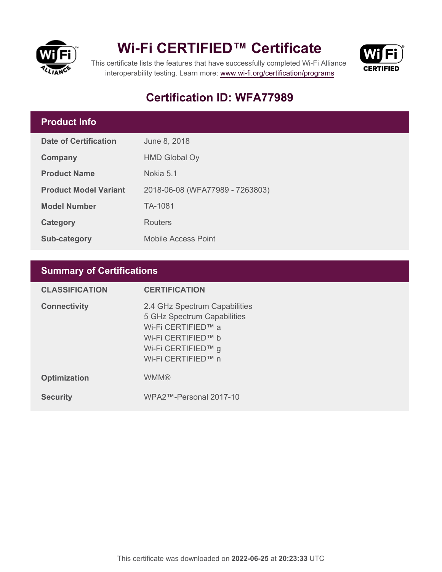

# **Wi-Fi CERTIFIED™ Certificate**



This certificate lists the features that have successfully completed Wi-Fi Alliance interoperability testing. Learn more:<www.wi-fi.org/certification/programs>

# **Certification ID: WFA77989**

## **Product Info**

| Date of Certification        | June 8, 2018                    |
|------------------------------|---------------------------------|
| Company                      | <b>HMD Global Oy</b>            |
| <b>Product Name</b>          | Nokia 5.1                       |
| <b>Product Model Variant</b> | 2018-06-08 (WFA77989 - 7263803) |
| <b>Model Number</b>          | TA-1081                         |
| Category                     | Routers                         |
| Sub-category                 | <b>Mobile Access Point</b>      |

# **Summary of Certifications**

| <b>CLASSIFICATION</b> | <b>CERTIFICATION</b>                                                                                                                                 |
|-----------------------|------------------------------------------------------------------------------------------------------------------------------------------------------|
| <b>Connectivity</b>   | 2.4 GHz Spectrum Capabilities<br>5 GHz Spectrum Capabilities<br>Wi-Fi CERTIFIED™ a<br>Wi-Fi CERTIFIED™ b<br>Wi-Fi CERTIFIED™ g<br>Wi-Fi CERTIFIED™ n |
| <b>Optimization</b>   | <b>WMM®</b>                                                                                                                                          |
| <b>Security</b>       | WPA2™-Personal 2017-10                                                                                                                               |